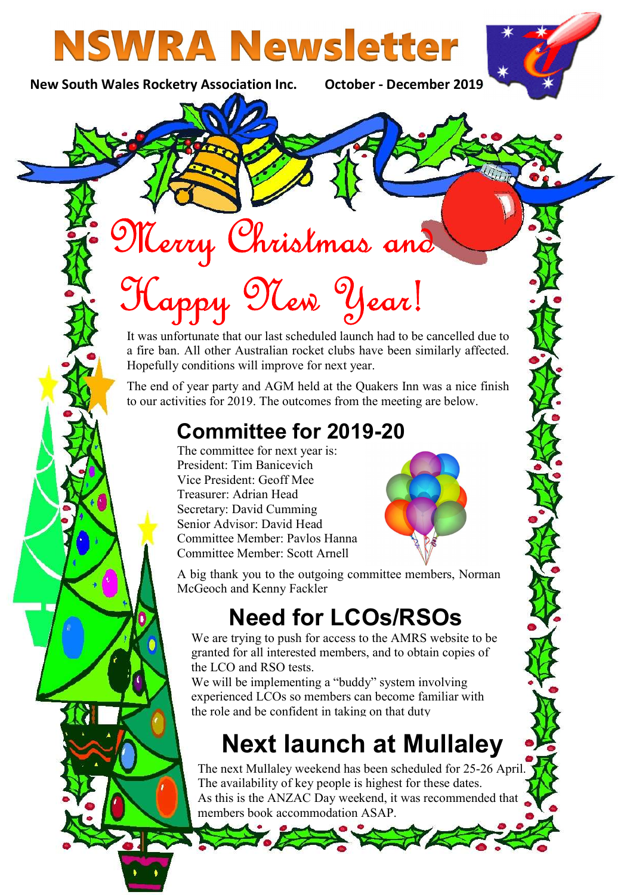# **NSWRA Newsletter**

New South Wales Rocketry Association Inc. October - December 2019

# Merry Christmas and

# Happy New Year!

It was unfortunate that our last scheduled launch had to be cancelled due to a fire ban. All other Australian rocket clubs have been similarly affected. Hopefully conditions will improve for next year.

The end of year party and AGM held at the Quakers Inn was a nice finish to our activities for 2019. The outcomes from the meeting are below.

### Committee for 2019-20

The committee for next year is: President: Tim Banicevich Vice President: Geoff Mee Treasurer: Adrian Head Secretary: David Cumming Senior Advisor: David Head Committee Member: Pavlos Hanna Committee Member: Scott Arnell



A big thank you to the outgoing committee members, Norman McGeoch and Kenny Fackler

### Need for LCOs/RSOs

We are trying to push for access to the AMRS website to be granted for all interested members, and to obtain copies of the LCO and RSO tests.

We will be implementing a "buddy" system involving experienced LCOs so members can become familiar with the role and be confident in taking on that duty

## Next launch at Mullaley

The next Mullaley weekend has been scheduled for 25-26 April. The availability of key people is highest for these dates. As this is the ANZAC Day weekend, it was recommended that members book accommodation ASAP.